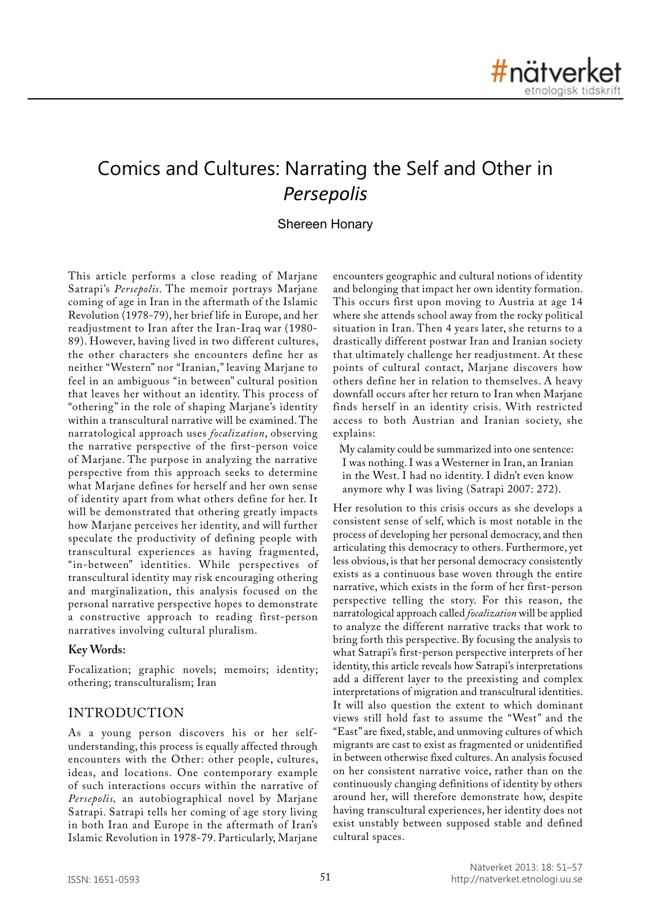# Comics and Cultures: Narrating the Self and Other in *Persepolis*

# Shereen Honary

This article performs a close reading of Marjane Satrapi's *Persepolis*. The memoir portrays Marjane coming of age in Iran in the aftermath of the Islamic Revolution (1978-79), her brief life in Europe, and her readjustment to Iran after the Iran-Iraq war (1980- 89). However, having lived in two different cultures, the other characters she encounters define her as neither "Western" nor "Iranian," leaving Marjane to feel in an ambiguous "in between" cultural position that leaves her without an identity. This process of "othering" in the role of shaping Marjane's identity within a transcultural narrative will be examined. The narratological approach uses *focalization*, observing the narrative perspective of the first-person voice of Marjane. The purpose in analyzing the narrative perspective from this approach seeks to determine what Marjane defines for herself and her own sense of identity apart from what others define for her. It will be demonstrated that othering greatly impacts how Marjane perceives her identity, and will further speculate the productivity of defining people with transcultural experiences as having fragmented, "in-between" identities. While perspectives of transcultural identity may risk encouraging othering and marginalization, this analysis focused on the personal narrative perspective hopes to demonstrate a constructive approach to reading first-person narratives involving cultural pluralism.

#### **Key Words:**

Focalization; graphic novels; memoirs; identity; othering; transculturalism; Iran

# INTRODUCTION

As a young person discovers his or her selfunderstanding, this process is equally affected through encounters with the Other: other people, cultures, ideas, and locations. One contemporary example of such interactions occurs within the narrative of *Persepolis,* an autobiographical novel by Marjane Satrapi. Satrapi tells her coming of age story living in both Iran and Europe in the aftermath of Iran's Islamic Revolution in 1978-79. Particularly, Marjane

encounters geographic and cultural notions of identity and belonging that impact her own identity formation. This occurs first upon moving to Austria at age 14 where she attends school away from the rocky political situation in Iran. Then 4 years later, she returns to a drastically different postwar Iran and Iranian society that ultimately challenge her readjustment. At these points of cultural contact, Marjane discovers how others define her in relation to themselves. A heavy downfall occurs after her return to Iran when Marjane finds herself in an identity crisis. With restricted access to both Austrian and Iranian society, she explains:

My calamity could be summarized into one sentence: I was nothing. I was a Westerner in Iran, an Iranian in the West. I had no identity. I didn't even know anymore why I was living (Satrapi 2007: 272).

Her resolution to this crisis occurs as she develops a consistent sense of self, which is most notable in the process of developing her personal democracy, and then articulating this democracy to others. Furthermore, yet less obvious, is that her personal democracy consistently exists as a continuous base woven through the entire narrative, which exists in the form of her first-person perspective telling the story. For this reason, the narratological approach called *focalization* will be applied to analyze the different narrative tracks that work to bring forth this perspective. By focusing the analysis to what Satrapi's first-person perspective interprets of her identity, this article reveals how Satrapi's interpretations add a different layer to the preexisting and complex interpretations of migration and transcultural identities. It will also question the extent to which dominant views still hold fast to assume the "West" and the "East" are fixed, stable, and unmoving cultures of which migrants are cast to exist as fragmented or unidentified in between otherwise fixed cultures. An analysis focused on her consistent narrative voice, rather than on the continuously changing definitions of identity by others around her, will therefore demonstrate how, despite having transcultural experiences, her identity does not exist unstably between supposed stable and defined cultural spaces.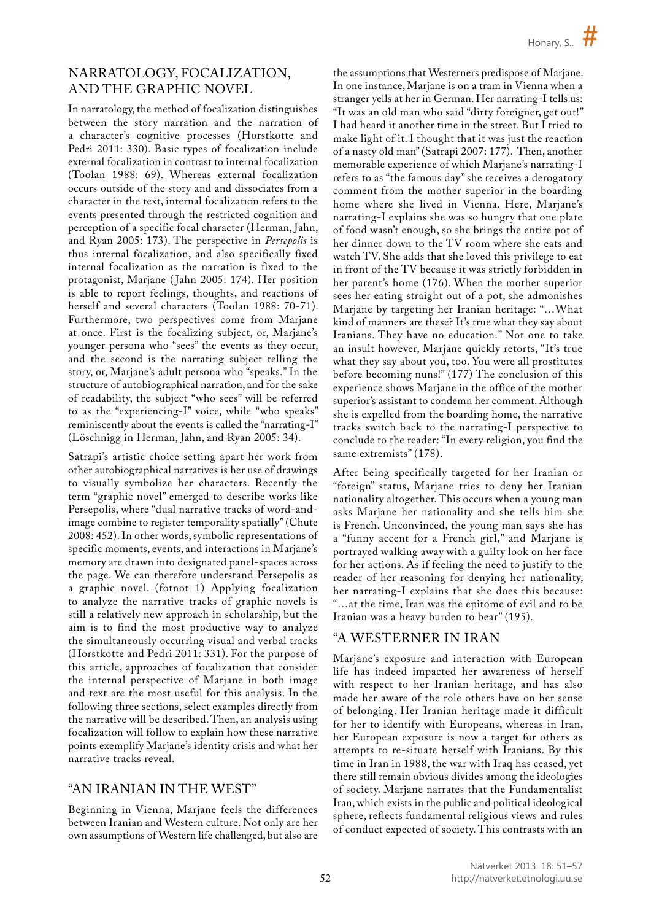# NARRATOLOGY, FOCALIZATION, AND THE GRAPHIC NOVEL

In narratology, the method of focalization distinguishes between the story narration and the narration of a character's cognitive processes (Horstkotte and Pedri 2011: 330). Basic types of focalization include external focalization in contrast to internal focalization (Toolan 1988: 69). Whereas external focalization occurs outside of the story and and dissociates from a character in the text, internal focalization refers to the events presented through the restricted cognition and perception of a specific focal character (Herman, Jahn, and Ryan 2005: 173). The perspective in *Persepolis* is thus internal focalization, and also specifically fixed internal focalization as the narration is fixed to the protagonist, Marjane (Jahn 2005: 174). Her position is able to report feelings, thoughts, and reactions of herself and several characters (Toolan 1988: 70-71). Furthermore, two perspectives come from Marjane at once. First is the focalizing subject, or, Marjane's younger persona who "sees" the events as they occur, and the second is the narrating subject telling the story, or, Marjane's adult persona who "speaks." In the structure of autobiographical narration, and for the sake of readability, the subject "who sees" will be referred to as the "experiencing-I" voice, while "who speaks" reminiscently about the events is called the "narrating-I" (Löschnigg in Herman, Jahn, and Ryan 2005: 34).

Satrapi's artistic choice setting apart her work from other autobiographical narratives is her use of drawings to visually symbolize her characters. Recently the term "graphic novel" emerged to describe works like Persepolis, where "dual narrative tracks of word-andimage combine to register temporality spatially" (Chute 2008: 452). In other words, symbolic representations of specific moments, events, and interactions in Marjane's memory are drawn into designated panel-spaces across the page. We can therefore understand Persepolis as a graphic novel. (fotnot 1) Applying focalization to analyze the narrative tracks of graphic novels is still a relatively new approach in scholarship, but the aim is to find the most productive way to analyze the simultaneously occurring visual and verbal tracks (Horstkotte and Pedri 2011: 331). For the purpose of this article, approaches of focalization that consider the internal perspective of Marjane in both image and text are the most useful for this analysis. In the following three sections, select examples directly from the narrative will be described. Then, an analysis using focalization will follow to explain how these narrative points exemplify Marjane's identity crisis and what her narrative tracks reveal.

# "AN IRANIAN IN THE WEST"

Beginning in Vienna, Marjane feels the differences between Iranian and Western culture. Not only are her own assumptions of Western life challenged, but also are

the assumptions that Westerners predispose of Marjane. In one instance, Marjane is on a tram in Vienna when a stranger yells at her in German. Her narrating-I tells us: "It was an old man who said "dirty foreigner, get out!" I had heard it another time in the street. But I tried to make light of it. I thought that it was just the reaction of a nasty old man" (Satrapi 2007: 177). Then, another memorable experience of which Marjane's narrating-I refers to as "the famous day" she receives a derogatory comment from the mother superior in the boarding home where she lived in Vienna. Here, Marjane's narrating-I explains she was so hungry that one plate of food wasn't enough, so she brings the entire pot of her dinner down to the TV room where she eats and watch TV. She adds that she loved this privilege to eat in front of the TV because it was strictly forbidden in her parent's home (176). When the mother superior sees her eating straight out of a pot, she admonishes Marjane by targeting her Iranian heritage: "…What kind of manners are these? It's true what they say about Iranians. They have no education." Not one to take an insult however, Marjane quickly retorts, "It's true what they say about you, too. You were all prostitutes before becoming nuns!" (177) The conclusion of this experience shows Marjane in the office of the mother superior's assistant to condemn her comment. Although she is expelled from the boarding home, the narrative tracks switch back to the narrating-I perspective to conclude to the reader: "In every religion, you find the same extremists" (178).

After being specifically targeted for her Iranian or "foreign" status, Marjane tries to deny her Iranian nationality altogether. This occurs when a young man asks Marjane her nationality and she tells him she is French. Unconvinced, the young man says she has a "funny accent for a French girl," and Marjane is portrayed walking away with a guilty look on her face for her actions. As if feeling the need to justify to the reader of her reasoning for denying her nationality, her narrating-I explains that she does this because: "…at the time, Iran was the epitome of evil and to be Iranian was a heavy burden to bear" (195).

# "A WESTERNER IN IRAN

Marjane's exposure and interaction with European life has indeed impacted her awareness of herself with respect to her Iranian heritage, and has also made her aware of the role others have on her sense of belonging. Her Iranian heritage made it difficult for her to identify with Europeans, whereas in Iran, her European exposure is now a target for others as attempts to re-situate herself with Iranians. By this time in Iran in 1988, the war with Iraq has ceased, yet there still remain obvious divides among the ideologies of society. Marjane narrates that the Fundamentalist Iran, which exists in the public and political ideological sphere, reflects fundamental religious views and rules of conduct expected of society. This contrasts with an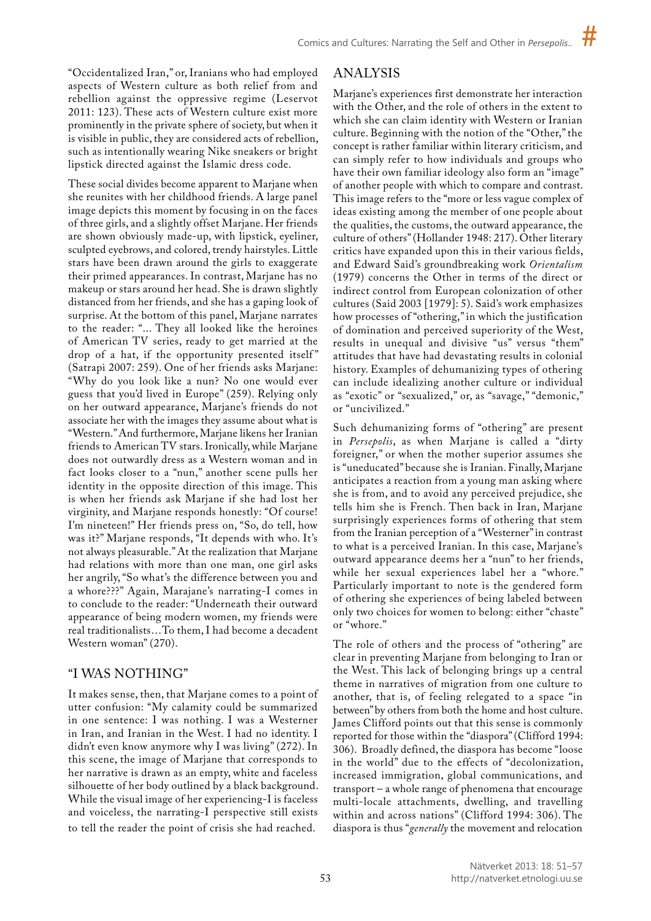"Occidentalized Iran," or, Iranians who had employed aspects of Western culture as both relief from and rebellion against the oppressive regime (Leservot 2011: 123). These acts of Western culture exist more prominently in the private sphere of society, but when it is visible in public, they are considered acts of rebellion, such as intentionally wearing Nike sneakers or bright lipstick directed against the Islamic dress code.

These social divides become apparent to Marjane when she reunites with her childhood friends. A large panel image depicts this moment by focusing in on the faces of three girls, and a slightly offset Marjane. Her friends are shown obviously made-up, with lipstick, eyeliner, sculpted eyebrows, and colored, trendy hairstyles. Little stars have been drawn around the girls to exaggerate their primed appearances. In contrast, Marjane has no makeup or stars around her head. She is drawn slightly distanced from her friends, and she has a gaping look of surprise. At the bottom of this panel, Marjane narrates to the reader: "... They all looked like the heroines of American TV series, ready to get married at the drop of a hat, if the opportunity presented itself" (Satrapi 2007: 259). One of her friends asks Marjane: "Why do you look like a nun? No one would ever guess that you'd lived in Europe" (259). Relying only on her outward appearance, Marjane's friends do not associate her with the images they assume about what is "Western." And furthermore, Marjane likens her Iranian friends to American TV stars. Ironically, while Marjane does not outwardly dress as a Western woman and in fact looks closer to a "nun," another scene pulls her identity in the opposite direction of this image. This is when her friends ask Marjane if she had lost her virginity, and Marjane responds honestly: "Of course! I'm nineteen!" Her friends press on, "So, do tell, how was it?" Marjane responds, "It depends with who. It's not always pleasurable." At the realization that Marjane had relations with more than one man, one girl asks her angrily, "So what's the difference between you and a whore???" Again, Marajane's narrating-I comes in to conclude to the reader: "Underneath their outward appearance of being modern women, my friends were real traditionalists…To them, I had become a decadent Western woman" (270).

# "I WAS NOTHING"

It makes sense, then, that Marjane comes to a point of utter confusion: "My calamity could be summarized in one sentence: I was nothing. I was a Westerner in Iran, and Iranian in the West. I had no identity. I didn't even know anymore why I was living" (272). In this scene, the image of Marjane that corresponds to her narrative is drawn as an empty, white and faceless silhouette of her body outlined by a black background. While the visual image of her experiencing-I is faceless and voiceless, the narrating-I perspective still exists to tell the reader the point of crisis she had reached.

# ANALYSIS

Marjane's experiences first demonstrate her interaction with the Other, and the role of others in the extent to which she can claim identity with Western or Iranian culture. Beginning with the notion of the "Other," the concept is rather familiar within literary criticism, and can simply refer to how individuals and groups who have their own familiar ideology also form an "image" of another people with which to compare and contrast. This image refers to the "more or less vague complex of ideas existing among the member of one people about the qualities, the customs, the outward appearance, the culture of others" (Hollander 1948: 217). Other literary critics have expanded upon this in their various fields, and Edward Said's groundbreaking work *Orientalism* (1979) concerns the Other in terms of the direct or indirect control from European colonization of other cultures (Said 2003 [1979]: 5). Said's work emphasizes how processes of "othering," in which the justification of domination and perceived superiority of the West, results in unequal and divisive "us" versus "them" attitudes that have had devastating results in colonial history. Examples of dehumanizing types of othering can include idealizing another culture or individual as "exotic" or "sexualized," or, as "savage," "demonic," or "uncivilized."

Such dehumanizing forms of "othering" are present in *Persepolis*, as when Marjane is called a "dirty foreigner," or when the mother superior assumes she is "uneducated" because she is Iranian. Finally, Marjane anticipates a reaction from a young man asking where she is from, and to avoid any perceived prejudice, she tells him she is French. Then back in Iran, Marjane surprisingly experiences forms of othering that stem from the Iranian perception of a "Westerner" in contrast to what is a perceived Iranian. In this case, Marjane's outward appearance deems her a "nun" to her friends, while her sexual experiences label her a "whore." Particularly important to note is the gendered form of othering she experiences of being labeled between only two choices for women to belong: either "chaste" or "whore."

The role of others and the process of "othering" are clear in preventing Marjane from belonging to Iran or the West. This lack of belonging brings up a central theme in narratives of migration from one culture to another, that is, of feeling relegated to a space "in between" by others from both the home and host culture. James Clifford points out that this sense is commonly reported for those within the "diaspora" (Clifford 1994: 306). Broadly defined, the diaspora has become "loose in the world" due to the effects of "decolonization, increased immigration, global communications, and transport – a whole range of phenomena that encourage multi-locale attachments, dwelling, and travelling within and across nations" (Clifford 1994: 306). The diaspora is thus "*generally* the movement and relocation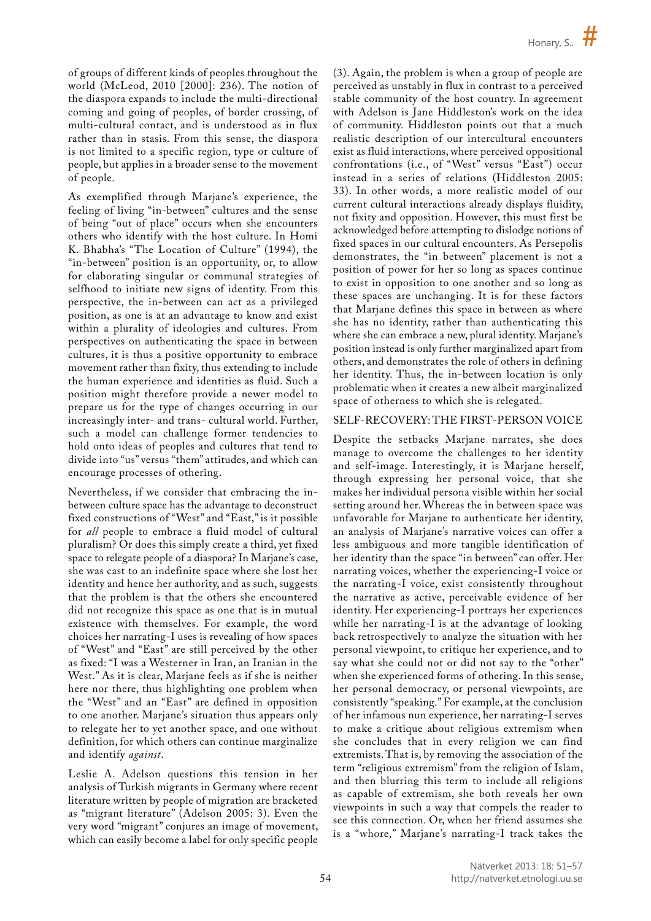of groups of different kinds of peoples throughout the world (McLeod, 2010 [2000]: 236). The notion of the diaspora expands to include the multi-directional coming and going of peoples, of border crossing, of multi-cultural contact, and is understood as in flux rather than in stasis. From this sense, the diaspora is not limited to a specific region, type or culture of people, but applies in a broader sense to the movement of people.

As exemplified through Marjane's experience, the feeling of living "in-between" cultures and the sense of being "out of place" occurs when she encounters others who identify with the host culture. In Homi K. Bhabha's "The Location of Culture" (1994), the "in-between" position is an opportunity, or, to allow for elaborating singular or communal strategies of selfhood to initiate new signs of identity. From this perspective, the in-between can act as a privileged position, as one is at an advantage to know and exist within a plurality of ideologies and cultures. From perspectives on authenticating the space in between cultures, it is thus a positive opportunity to embrace movement rather than fixity, thus extending to include the human experience and identities as fluid. Such a position might therefore provide a newer model to prepare us for the type of changes occurring in our increasingly inter- and trans- cultural world. Further, such a model can challenge former tendencies to hold onto ideas of peoples and cultures that tend to divide into "us" versus "them" attitudes, and which can encourage processes of othering.

Nevertheless, if we consider that embracing the inbetween culture space has the advantage to deconstruct fixed constructions of "West" and "East," is it possible for *all* people to embrace a fluid model of cultural pluralism? Or does this simply create a third, yet fixed space to relegate people of a diaspora? In Marjane's case, she was cast to an indefinite space where she lost her identity and hence her authority, and as such, suggests that the problem is that the others she encountered did not recognize this space as one that is in mutual existence with themselves. For example, the word choices her narrating-I uses is revealing of how spaces of "West" and "East" are still perceived by the other as fixed: "I was a Westerner in Iran, an Iranian in the West." As it is clear, Marjane feels as if she is neither here nor there, thus highlighting one problem when the "West" and an "East" are defined in opposition to one another. Marjane's situation thus appears only to relegate her to yet another space, and one without definition, for which others can continue marginalize and identify *against*.

Leslie A. Adelson questions this tension in her analysis of Turkish migrants in Germany where recent literature written by people of migration are bracketed as "migrant literature" (Adelson 2005: 3). Even the very word "migrant" conjures an image of movement, which can easily become a label for only specific people

(3). Again, the problem is when a group of people are perceived as unstably in flux in contrast to a perceived stable community of the host country. In agreement with Adelson is Jane Hiddleston's work on the idea of community. Hiddleston points out that a much realistic description of our intercultural encounters exist as fluid interactions, where perceived oppositional confrontations (i.e., of "West" versus "East") occur instead in a series of relations (Hiddleston 2005: 33). In other words, a more realistic model of our current cultural interactions already displays fluidity, not fixity and opposition. However, this must first be acknowledged before attempting to dislodge notions of fixed spaces in our cultural encounters. As Persepolis demonstrates, the "in between" placement is not a position of power for her so long as spaces continue to exist in opposition to one another and so long as these spaces are unchanging. It is for these factors that Marjane defines this space in between as where she has no identity, rather than authenticating this where she can embrace a new, plural identity. Marjane's position instead is only further marginalized apart from others, and demonstrates the role of others in defining her identity. Thus, the in-between location is only problematic when it creates a new albeit marginalized space of otherness to which she is relegated.

#### SELF-RECOVERY: THE FIRST-PERSON VOICE

Despite the setbacks Marjane narrates, she does manage to overcome the challenges to her identity and self-image. Interestingly, it is Marjane herself, through expressing her personal voice, that she makes her individual persona visible within her social setting around her. Whereas the in between space was unfavorable for Marjane to authenticate her identity, an analysis of Marjane's narrative voices can offer a less ambiguous and more tangible identification of her identity than the space "in between" can offer. Her narrating voices, whether the experiencing-I voice or the narrating-I voice, exist consistently throughout the narrative as active, perceivable evidence of her identity. Her experiencing-I portrays her experiences while her narrating-I is at the advantage of looking back retrospectively to analyze the situation with her personal viewpoint, to critique her experience, and to say what she could not or did not say to the "other" when she experienced forms of othering. In this sense, her personal democracy, or personal viewpoints, are consistently "speaking." For example, at the conclusion of her infamous nun experience, her narrating-I serves to make a critique about religious extremism when she concludes that in every religion we can find extremists. That is, by removing the association of the term "religious extremism" from the religion of Islam, and then blurring this term to include all religions as capable of extremism, she both reveals her own viewpoints in such a way that compels the reader to see this connection. Or, when her friend assumes she is a "whore," Marjane's narrating-I track takes the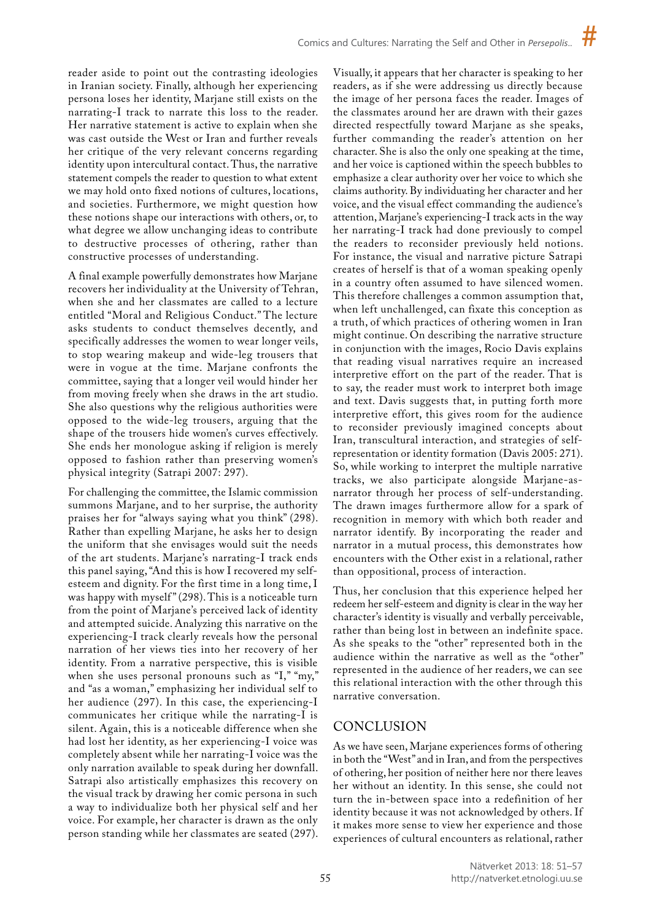reader aside to point out the contrasting ideologies in Iranian society. Finally, although her experiencing persona loses her identity, Marjane still exists on the narrating-I track to narrate this loss to the reader. Her narrative statement is active to explain when she was cast outside the West or Iran and further reveals her critique of the very relevant concerns regarding identity upon intercultural contact. Thus, the narrative statement compels the reader to question to what extent we may hold onto fixed notions of cultures, locations, and societies. Furthermore, we might question how these notions shape our interactions with others, or, to what degree we allow unchanging ideas to contribute to destructive processes of othering, rather than constructive processes of understanding.

A final example powerfully demonstrates how Marjane recovers her individuality at the University of Tehran, when she and her classmates are called to a lecture entitled "Moral and Religious Conduct." The lecture asks students to conduct themselves decently, and specifically addresses the women to wear longer veils, to stop wearing makeup and wide-leg trousers that were in vogue at the time. Marjane confronts the committee, saying that a longer veil would hinder her from moving freely when she draws in the art studio. She also questions why the religious authorities were opposed to the wide-leg trousers, arguing that the shape of the trousers hide women's curves effectively. She ends her monologue asking if religion is merely opposed to fashion rather than preserving women's physical integrity (Satrapi 2007: 297).

For challenging the committee, the Islamic commission summons Marjane, and to her surprise, the authority praises her for "always saying what you think" (298). Rather than expelling Marjane, he asks her to design the uniform that she envisages would suit the needs of the art students. Marjane's narrating-I track ends this panel saying, "And this is how I recovered my selfesteem and dignity. For the first time in a long time, I was happy with myself" (298). This is a noticeable turn from the point of Marjane's perceived lack of identity and attempted suicide. Analyzing this narrative on the experiencing-I track clearly reveals how the personal narration of her views ties into her recovery of her identity. From a narrative perspective, this is visible when she uses personal pronouns such as "I," "my," and "as a woman," emphasizing her individual self to her audience (297). In this case, the experiencing-I communicates her critique while the narrating-I is silent. Again, this is a noticeable difference when she had lost her identity, as her experiencing-I voice was completely absent while her narrating-I voice was the only narration available to speak during her downfall. Satrapi also artistically emphasizes this recovery on the visual track by drawing her comic persona in such a way to individualize both her physical self and her voice. For example, her character is drawn as the only person standing while her classmates are seated (297).

Visually, it appears that her character is speaking to her readers, as if she were addressing us directly because the image of her persona faces the reader. Images of the classmates around her are drawn with their gazes directed respectfully toward Marjane as she speaks, further commanding the reader's attention on her character. She is also the only one speaking at the time, and her voice is captioned within the speech bubbles to emphasize a clear authority over her voice to which she claims authority. By individuating her character and her voice, and the visual effect commanding the audience's attention, Marjane's experiencing-I track acts in the way her narrating-I track had done previously to compel the readers to reconsider previously held notions. For instance, the visual and narrative picture Satrapi creates of herself is that of a woman speaking openly in a country often assumed to have silenced women. This therefore challenges a common assumption that, when left unchallenged, can fixate this conception as a truth, of which practices of othering women in Iran might continue. On describing the narrative structure in conjunction with the images, Rocio Davis explains that reading visual narratives require an increased interpretive effort on the part of the reader. That is to say, the reader must work to interpret both image and text. Davis suggests that, in putting forth more interpretive effort, this gives room for the audience to reconsider previously imagined concepts about Iran, transcultural interaction, and strategies of selfrepresentation or identity formation (Davis 2005: 271). So, while working to interpret the multiple narrative tracks, we also participate alongside Marjane-asnarrator through her process of self-understanding. The drawn images furthermore allow for a spark of recognition in memory with which both reader and narrator identify. By incorporating the reader and narrator in a mutual process, this demonstrates how encounters with the Other exist in a relational, rather than oppositional, process of interaction.

Thus, her conclusion that this experience helped her redeem her self-esteem and dignity is clear in the way her character's identity is visually and verbally perceivable, rather than being lost in between an indefinite space. As she speaks to the "other" represented both in the audience within the narrative as well as the "other" represented in the audience of her readers, we can see this relational interaction with the other through this narrative conversation.

# CONCLUSION

As we have seen, Marjane experiences forms of othering in both the "West" and in Iran, and from the perspectives of othering, her position of neither here nor there leaves her without an identity. In this sense, she could not turn the in-between space into a redefinition of her identity because it was not acknowledged by others. If it makes more sense to view her experience and those experiences of cultural encounters as relational, rather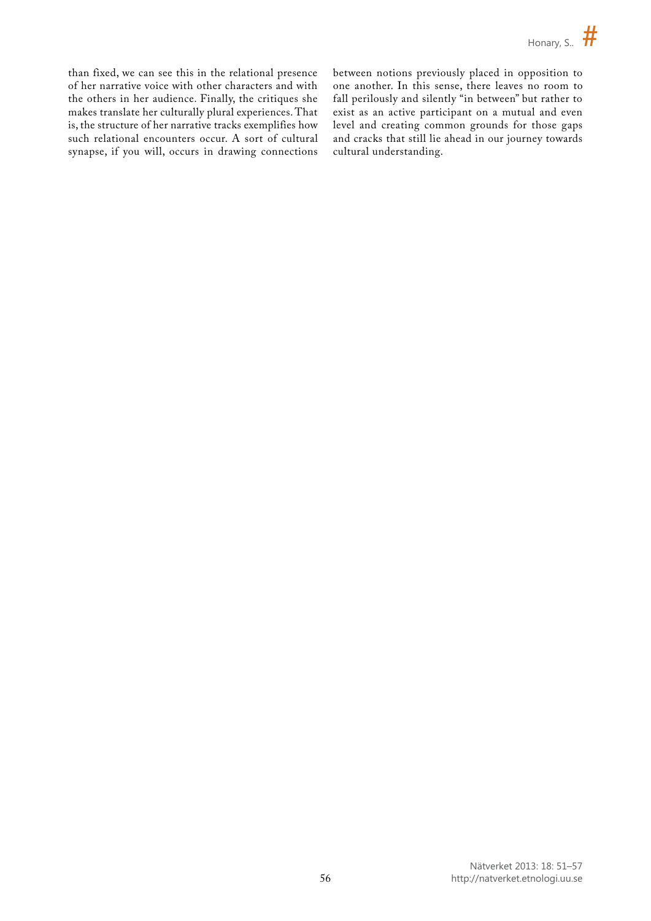than fixed, we can see this in the relational presence of her narrative voice with other characters and with the others in her audience. Finally, the critiques she makes translate her culturally plural experiences. That is, the structure of her narrative tracks exemplifies how such relational encounters occur. A sort of cultural synapse, if you will, occurs in drawing connections between notions previously placed in opposition to one another. In this sense, there leaves no room to fall perilously and silently "in between" but rather to exist as an active participant on a mutual and even level and creating common grounds for those gaps and cracks that still lie ahead in our journey towards cultural understanding.